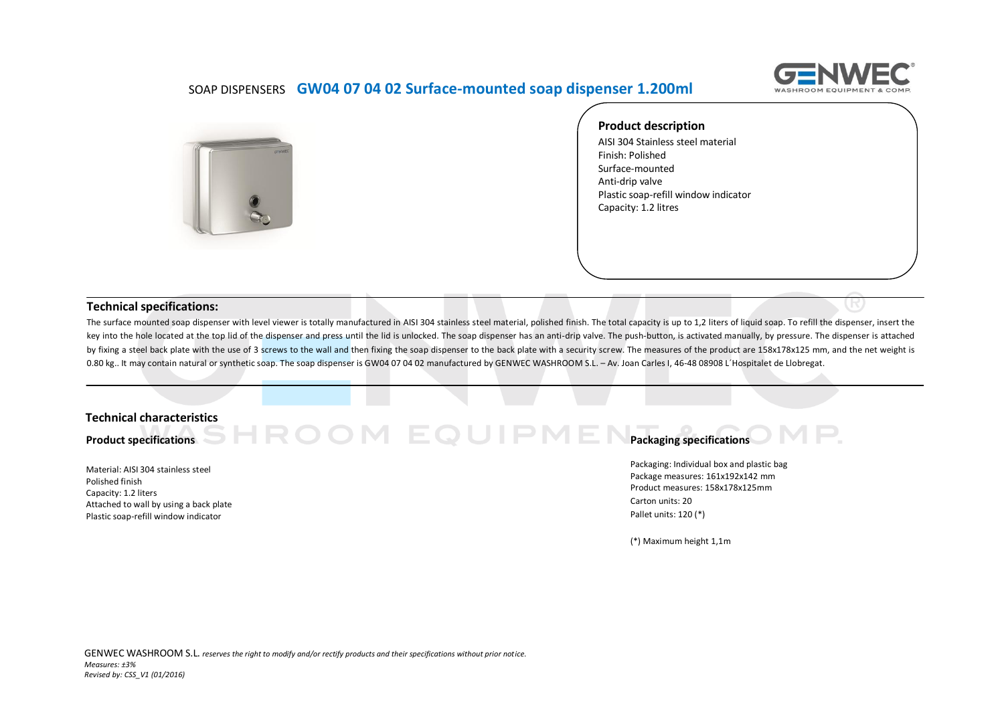

## SOAP DISPENSERS **GW04 07 04 02 Surface-mounted soap dispenser 1.200ml**



**Product description** AISI 304 Stainless steel material Finish: Polished Surface-mounted Anti‐drip valve Plastic soap-refill window indicator Capacity: 1.2 litres

## **Technical specifications:**

The surface mounted soap dispenser with level viewer is totally manufactured in AISI 304 stainless steel material, polished finish. The total capacity is up to 1,2 liters of liquid soap. To refill the dispenser, insert the key into the hole located at the top lid of the dispenser and press until the lid is unlocked. The soap dispenser has an anti‐drip valve. The push‐button, is activated manually, by pressure. The dispenser is attached by fixing a steel back plate with the use of 3 screws to the wall and then fixing the soap dispenser to the back plate with a security screw. The measures of the product are 158x178x125 mm, and the net weight is 0.80 kg.. It may contain natural or synthetic soap. The soap dispenser is GW04 07 04 02 manufactured by GENWEC WASHROOM S.L. - Av. Joan Carles I, 46-48 08908 L'Hospitalet de Llobregat.

### **Technical characteristics**

**Product specifications**

Material: AISI 304 stainless steel Polished finish Capacity: 1.2 liters Attached to wall by using a back plate Plastic soap-refill window indicator

#### **Packaging specifications** IPME OOM EQ

Packaging: Individual box and plastic bag Package measures: 161x192x142 mm Product measures: 158x178x125mm Carton units: 20 Pallet units: 120 (\*)

(\*) Maximum height 1,1m